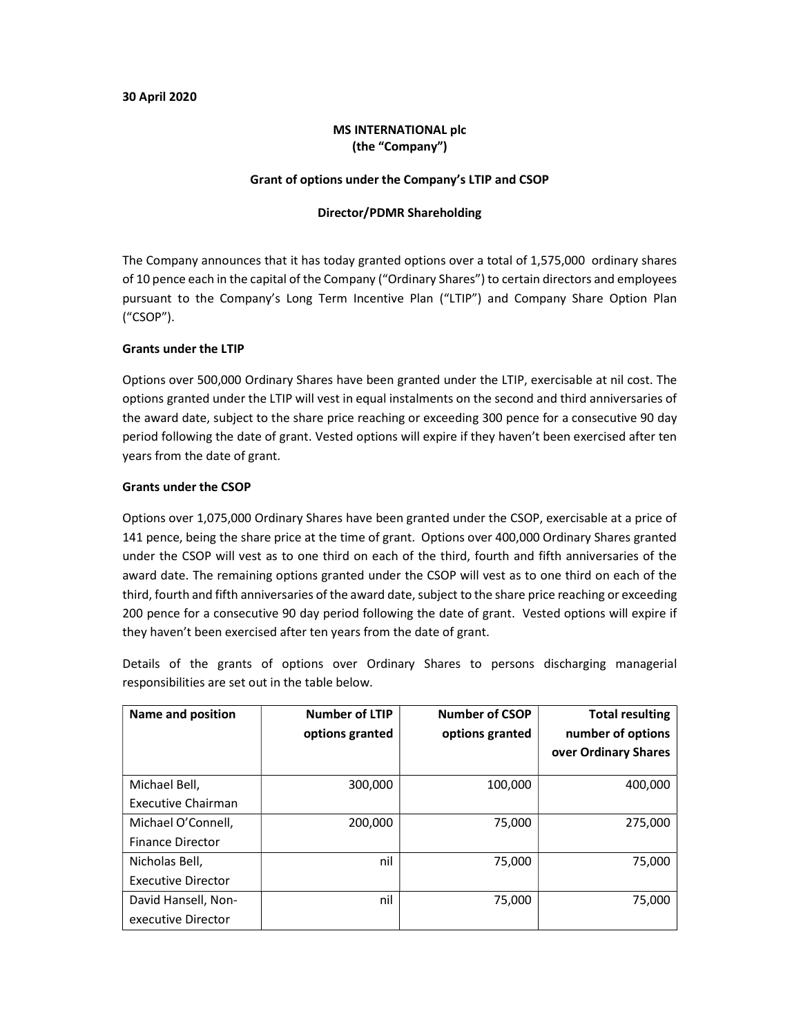#### 30 April 2020

## MS INTERNATIONAL plc (the "Company")

#### Grant of options under the Company's LTIP and CSOP

#### Director/PDMR Shareholding

The Company announces that it has today granted options over a total of 1,575,000 ordinary shares of 10 pence each in the capital of the Company ("Ordinary Shares") to certain directors and employees pursuant to the Company's Long Term Incentive Plan ("LTIP") and Company Share Option Plan ("CSOP").

#### Grants under the LTIP

Options over 500,000 Ordinary Shares have been granted under the LTIP, exercisable at nil cost. The options granted under the LTIP will vest in equal instalments on the second and third anniversaries of the award date, subject to the share price reaching or exceeding 300 pence for a consecutive 90 day period following the date of grant. Vested options will expire if they haven't been exercised after ten years from the date of grant.

#### Grants under the CSOP

Options over 1,075,000 Ordinary Shares have been granted under the CSOP, exercisable at a price of 141 pence, being the share price at the time of grant. Options over 400,000 Ordinary Shares granted under the CSOP will vest as to one third on each of the third, fourth and fifth anniversaries of the award date. The remaining options granted under the CSOP will vest as to one third on each of the third, fourth and fifth anniversaries of the award date, subject to the share price reaching or exceeding 200 pence for a consecutive 90 day period following the date of grant. Vested options will expire if they haven't been exercised after ten years from the date of grant.

Details of the grants of options over Ordinary Shares to persons discharging managerial responsibilities are set out in the table below.

| Name and position                             | <b>Number of LTIP</b><br>options granted | <b>Number of CSOP</b><br>options granted | <b>Total resulting</b><br>number of options<br>over Ordinary Shares |
|-----------------------------------------------|------------------------------------------|------------------------------------------|---------------------------------------------------------------------|
| Michael Bell,<br>Executive Chairman           | 300,000                                  | 100,000                                  | 400,000                                                             |
| Michael O'Connell,<br><b>Finance Director</b> | 200,000                                  | 75,000                                   | 275,000                                                             |
| Nicholas Bell,<br><b>Executive Director</b>   | nil                                      | 75,000                                   | 75,000                                                              |
| David Hansell, Non-<br>executive Director     | nil                                      | 75,000                                   | 75,000                                                              |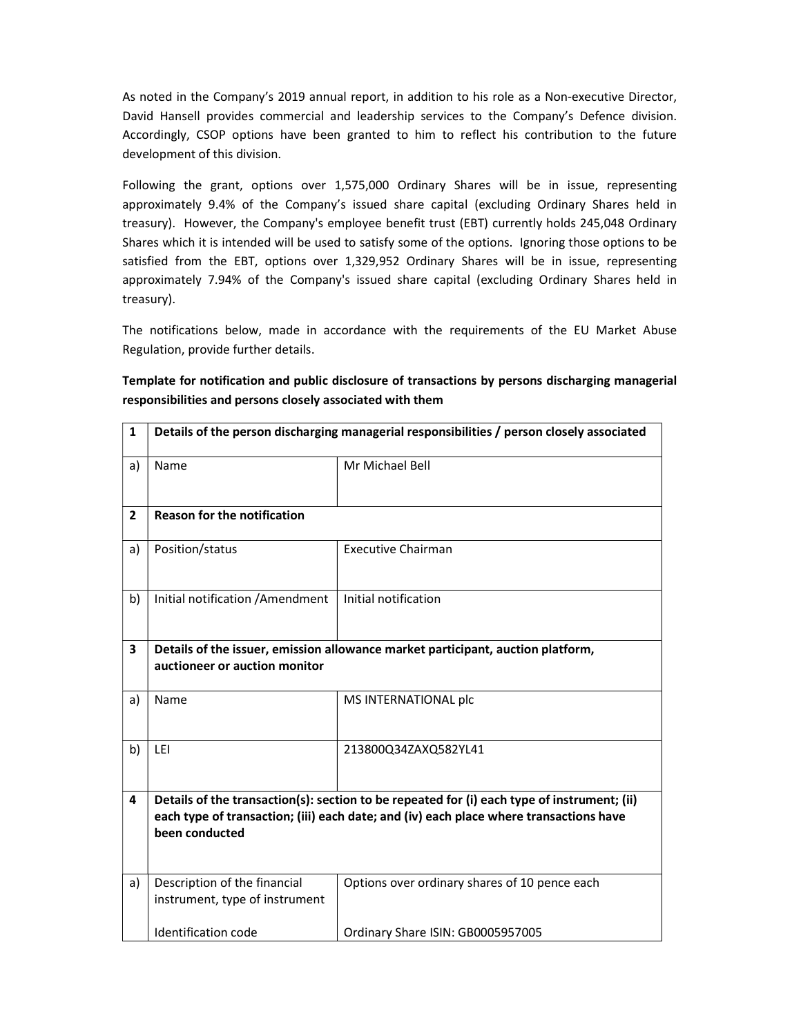As noted in the Company's 2019 annual report, in addition to his role as a Non-executive Director, David Hansell provides commercial and leadership services to the Company's Defence division. Accordingly, CSOP options have been granted to him to reflect his contribution to the future development of this division.

Following the grant, options over 1,575,000 Ordinary Shares will be in issue, representing approximately 9.4% of the Company's issued share capital (excluding Ordinary Shares held in treasury). However, the Company's employee benefit trust (EBT) currently holds 245,048 Ordinary Shares which it is intended will be used to satisfy some of the options. Ignoring those options to be satisfied from the EBT, options over 1,329,952 Ordinary Shares will be in issue, representing approximately 7.94% of the Company's issued share capital (excluding Ordinary Shares held in treasury).

The notifications below, made in accordance with the requirements of the EU Market Abuse Regulation, provide further details.

# Template for notification and public disclosure of transactions by persons discharging managerial responsibilities and persons closely associated with them

| $\mathbf{1}$   | Details of the person discharging managerial responsibilities / person closely associated                                                                                                               |                                               |  |
|----------------|---------------------------------------------------------------------------------------------------------------------------------------------------------------------------------------------------------|-----------------------------------------------|--|
| a)             | Name                                                                                                                                                                                                    | Mr Michael Bell                               |  |
| $\overline{2}$ | <b>Reason for the notification</b>                                                                                                                                                                      |                                               |  |
| a)             | Position/status                                                                                                                                                                                         | <b>Executive Chairman</b>                     |  |
| b)             | Initial notification / Amendment                                                                                                                                                                        | Initial notification                          |  |
| 3              | Details of the issuer, emission allowance market participant, auction platform,<br>auctioneer or auction monitor                                                                                        |                                               |  |
| a)             | Name                                                                                                                                                                                                    | MS INTERNATIONAL plc                          |  |
| b)             | LEI                                                                                                                                                                                                     | 213800Q34ZAXQ582YL41                          |  |
| 4              | Details of the transaction(s): section to be repeated for (i) each type of instrument; (ii)<br>each type of transaction; (iii) each date; and (iv) each place where transactions have<br>been conducted |                                               |  |
| a)             | Description of the financial<br>instrument, type of instrument                                                                                                                                          | Options over ordinary shares of 10 pence each |  |
|                | Identification code                                                                                                                                                                                     | Ordinary Share ISIN: GB0005957005             |  |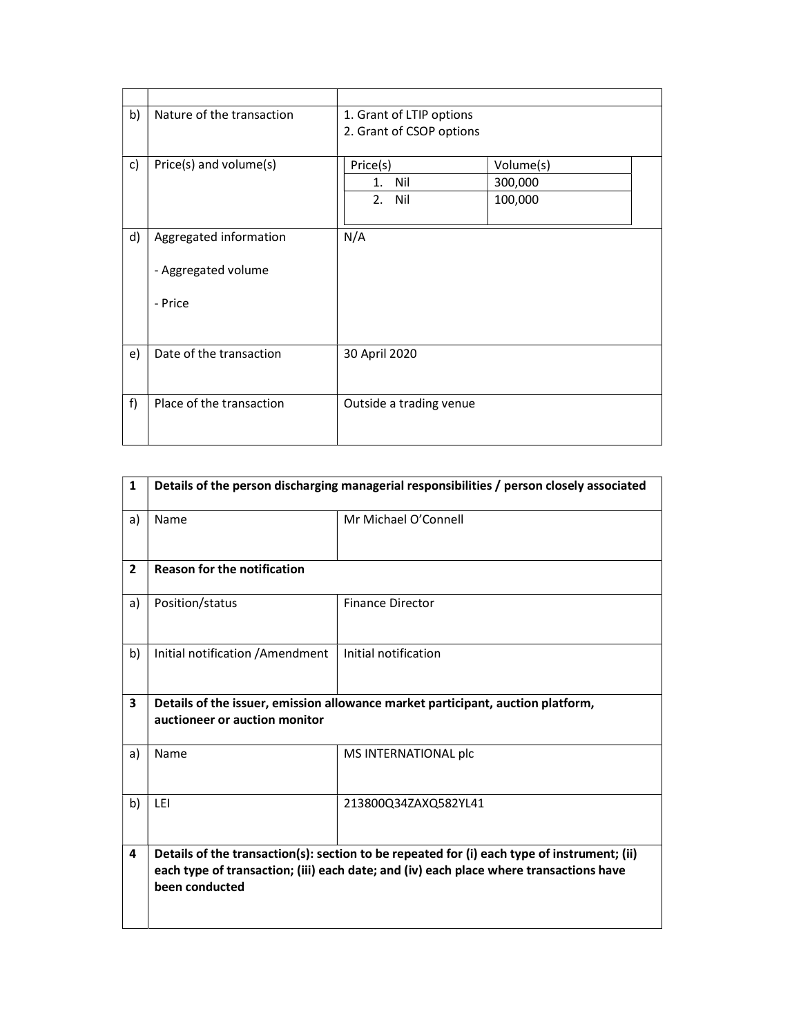| b) | Nature of the transaction                     | 1. Grant of LTIP options<br>2. Grant of CSOP options |                                 |
|----|-----------------------------------------------|------------------------------------------------------|---------------------------------|
| c) | Price(s) and volume(s)                        | Price(s)<br>1. Nil<br>2. Nil                         | Volume(s)<br>300,000<br>100,000 |
| d) | Aggregated information<br>- Aggregated volume | N/A                                                  |                                 |
|    | - Price                                       |                                                      |                                 |
| e) | Date of the transaction                       | 30 April 2020                                        |                                 |
| f) | Place of the transaction                      | Outside a trading venue                              |                                 |

| $\mathbf{1}$   | Details of the person discharging managerial responsibilities / person closely associated                                                                                                               |                         |  |
|----------------|---------------------------------------------------------------------------------------------------------------------------------------------------------------------------------------------------------|-------------------------|--|
| a)             | Name                                                                                                                                                                                                    | Mr Michael O'Connell    |  |
| $\overline{2}$ | <b>Reason for the notification</b>                                                                                                                                                                      |                         |  |
| a)             | Position/status                                                                                                                                                                                         | <b>Finance Director</b> |  |
| b)             | Initial notification / Amendment                                                                                                                                                                        | Initial notification    |  |
| 3              | Details of the issuer, emission allowance market participant, auction platform,<br>auctioneer or auction monitor                                                                                        |                         |  |
| a)             | Name                                                                                                                                                                                                    | MS INTERNATIONAL plc    |  |
| b)             | LEI                                                                                                                                                                                                     | 213800Q34ZAXQ582YL41    |  |
| 4              | Details of the transaction(s): section to be repeated for (i) each type of instrument; (ii)<br>each type of transaction; (iii) each date; and (iv) each place where transactions have<br>been conducted |                         |  |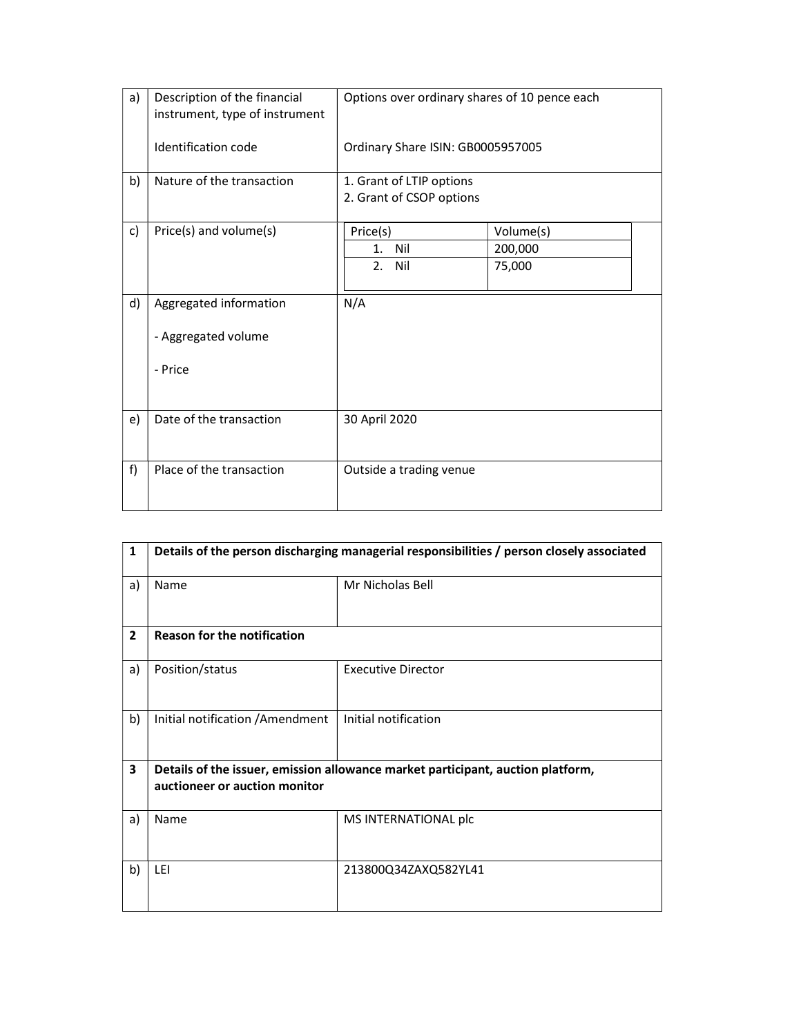| a) | Description of the financial<br>instrument, type of instrument | Options over ordinary shares of 10 pence each        |                                |  |
|----|----------------------------------------------------------------|------------------------------------------------------|--------------------------------|--|
|    | Identification code                                            | Ordinary Share ISIN: GB0005957005                    |                                |  |
| b) | Nature of the transaction                                      | 1. Grant of LTIP options<br>2. Grant of CSOP options |                                |  |
| c) | Price(s) and volume(s)                                         | Price(s)<br>1.<br>Nil<br>2. Nil                      | Volume(s)<br>200,000<br>75,000 |  |
| d) | Aggregated information<br>- Aggregated volume<br>- Price       | N/A                                                  |                                |  |
| e) | Date of the transaction                                        | 30 April 2020                                        |                                |  |
| f) | Place of the transaction                                       | Outside a trading venue                              |                                |  |

| $\mathbf{1}$   | Details of the person discharging managerial responsibilities / person closely associated |                                                                                 |
|----------------|-------------------------------------------------------------------------------------------|---------------------------------------------------------------------------------|
| a)             | Name                                                                                      | Mr Nicholas Bell                                                                |
| $\overline{2}$ | <b>Reason for the notification</b>                                                        |                                                                                 |
| a)             | Position/status                                                                           | <b>Executive Director</b>                                                       |
| b)             | Initial notification / Amendment                                                          | Initial notification                                                            |
| 3              | auctioneer or auction monitor                                                             | Details of the issuer, emission allowance market participant, auction platform, |
| a)             | Name                                                                                      | MS INTERNATIONAL plc                                                            |
| b)             | LEI                                                                                       | 213800Q34ZAXQ582YL41                                                            |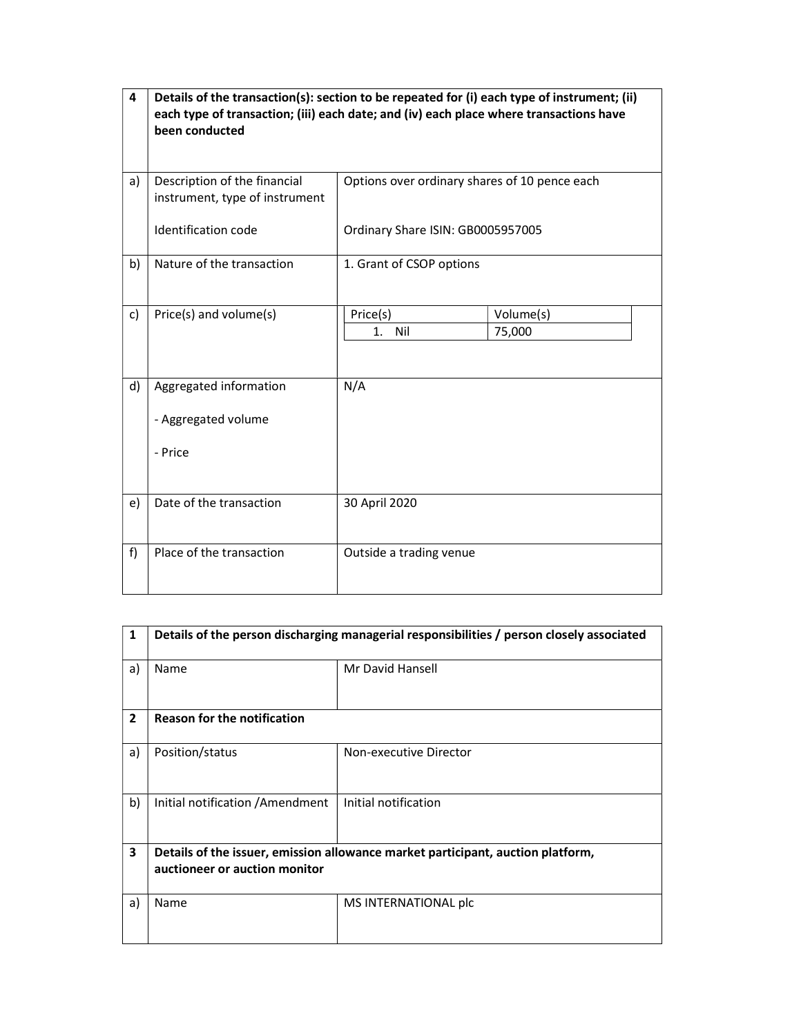| 4  | Details of the transaction(s): section to be repeated for (i) each type of instrument; (ii)<br>each type of transaction; (iii) each date; and (iv) each place where transactions have<br>been conducted |                                               |                     |
|----|---------------------------------------------------------------------------------------------------------------------------------------------------------------------------------------------------------|-----------------------------------------------|---------------------|
| a) | Description of the financial<br>instrument, type of instrument                                                                                                                                          | Options over ordinary shares of 10 pence each |                     |
|    | Identification code                                                                                                                                                                                     | Ordinary Share ISIN: GB0005957005             |                     |
| b) | Nature of the transaction                                                                                                                                                                               | 1. Grant of CSOP options                      |                     |
| c) | Price(s) and volume(s)                                                                                                                                                                                  | Price(s)<br>1.<br>Nil                         | Volume(s)<br>75,000 |
| d) | Aggregated information<br>- Aggregated volume<br>- Price                                                                                                                                                | N/A                                           |                     |
| e) | Date of the transaction                                                                                                                                                                                 | 30 April 2020                                 |                     |
| f) | Place of the transaction                                                                                                                                                                                | Outside a trading venue                       |                     |

| $\mathbf{1}$            | Details of the person discharging managerial responsibilities / person closely associated                        |                        |
|-------------------------|------------------------------------------------------------------------------------------------------------------|------------------------|
| a)                      | Name                                                                                                             | Mr David Hansell       |
| $\overline{2}$          | <b>Reason for the notification</b>                                                                               |                        |
| a)                      | Position/status                                                                                                  | Non-executive Director |
| b)                      | Initial notification / Amendment                                                                                 | Initial notification   |
| $\overline{\mathbf{3}}$ | Details of the issuer, emission allowance market participant, auction platform,<br>auctioneer or auction monitor |                        |
| a)                      | Name                                                                                                             | MS INTERNATIONAL plc   |